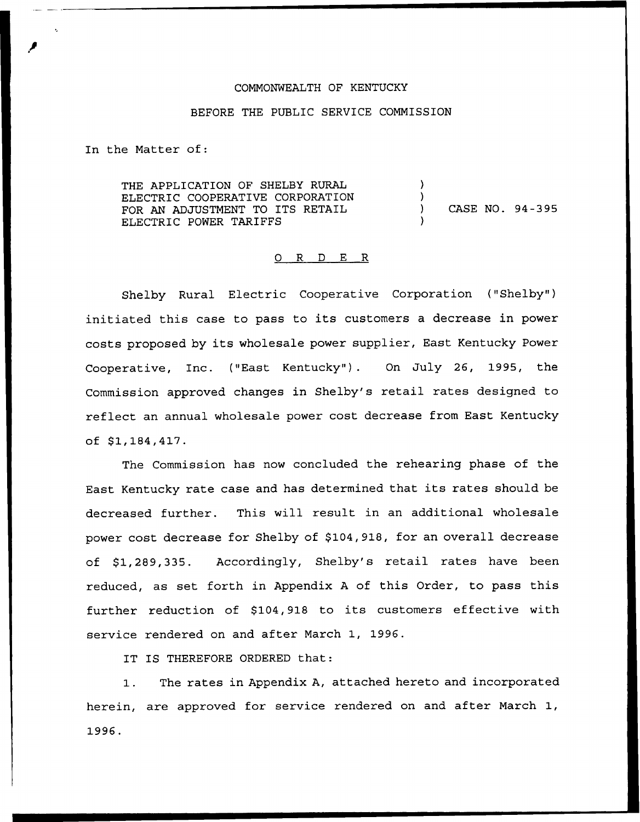#### COMMONWEALTH OF KENTUCKY

#### BEFORE THE PUBLIC SERVICE COMMISSION

In the Matter of:

THE APPLICATION OF SHELBY RURAL ELECTRIC COOPERATIVE CORPORATION FOR AN ADJUSTMENT TO ITS RETAIL ELECTRIC POWER TARIFFS ) ) ) CASE NO. 94-395 )

#### 0 R <sup>D</sup> E R

Shelby Rural Electric Cooperative Corporation {"Shelby") initiated this case to pass to its customers <sup>a</sup> decrease in power costs proposed by its wholesale power supplier, East Kentucky Power Cooperative, Inc. ("East Kentucky"). On July 26, 1995, the Commission approved changes in Shelby's retail rates designed to reflect an annual wholesale power cost decrease from East Kentucky of \$1,184,417.

The Commission has now concluded the rehearing phase of the East Kentucky rate case and has determined that its rates should be decreased further. This will result in an additional wholesale power cost decrease for Shelby of \$104,918, for an overall decrease of \$1,289,335. Accordingly, Shelby's retail rates have been reduced, as set forth in Appendix <sup>A</sup> of this Order, to pass this further reduction of \$104,918 to its customers effective with service rendered on and after March 1, 1996.

IT IS THEREFORE ORDERED that:

The rates in Appendix A, attached hereto and incorporated  $1.$ herein, are approved for service rendered on and after March 1, 1996.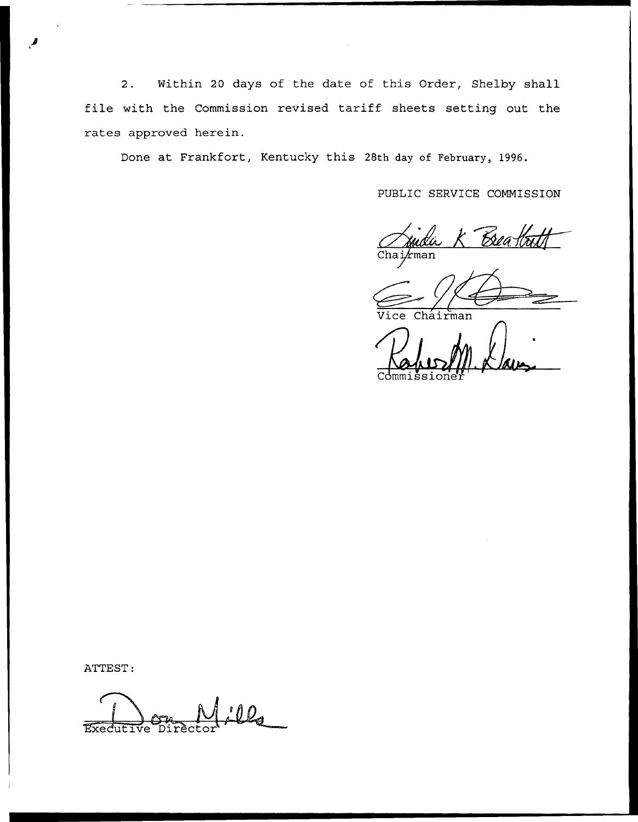Within 20 days of the date of this Order, Shelby shall  $2.$ file with the Commission revised tariff sheets setting out the rates approved herein.

Done at Frankfort, Kentucky this 28th day of February, 1996.

PUBLIC SERVICE COMMISSION

Bea  $k$ man

Chairman

ATTEST:

 $0\mathbf{Q}_{\mathbf{A}}$ Executive Dirècto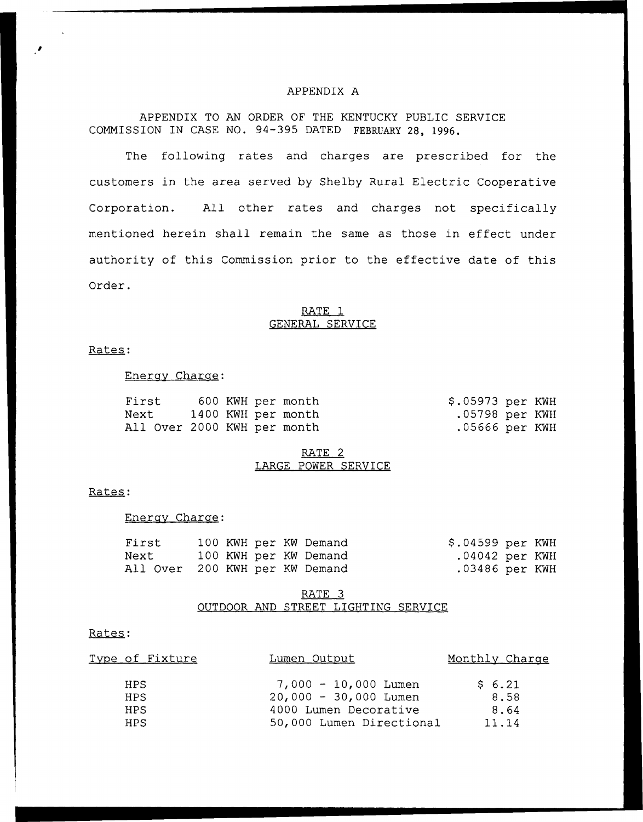### APPENDIX A

APPENDIX TO AN ORDER OF THE KENTUCKY PUBLIC SERVICE COMMISSION IN CASE NO. 94-395 DATED FEBRUARY 28, 1996.

The following rates and charges are prescribed for the customers in the area served by Shelby Rural Electric Cooperative Corporation. All other rates and charges not specifically mentioned herein shall remain the same as those in effect under authority of this Commission prior to the effective date of this Order.

## RATE 1 GENERAL SERVICE

# Rates:

#### Energv Charac:

| First |                             |  | 600 KWH per month  | \$.05973 per KWH |  |
|-------|-----------------------------|--|--------------------|------------------|--|
| Next  |                             |  | 1400 KWH per month | .05798 per KWH   |  |
|       | All Over 2000 KWH per month |  |                    | $.05666$ per KWH |  |

### RATE 2 LARGE POWER SERVICE

## Rates:

#### Enerav Charac:

| First                          |  |  | 100 KWH per KW Demand | $$.04599$ per KWH |  |
|--------------------------------|--|--|-----------------------|-------------------|--|
| Next                           |  |  | 100 KWH per KW Demand | $.04042$ per KWH  |  |
| All Over 200 KWH per KW Demand |  |  |                       | $.03486$ per KWH  |  |

# RATE 3 OUTDOOR AND STREET LIGHTING SERVICE

#### Rates:

| <u>Type of Fixture</u> | <u>Lumen Output</u>      | Monthly Charge |
|------------------------|--------------------------|----------------|
| HPS.                   | $7,000 - 10,000$ Lumen   | \$6.21         |
| HPS.                   | $20,000 - 30,000$ Lumen  | 8.58           |
| <b>HPS</b>             | 4000 Lumen Decorative    | 8.64           |
| <b>HPS</b>             | 50,000 Lumen Directional | 11.14          |
|                        |                          |                |